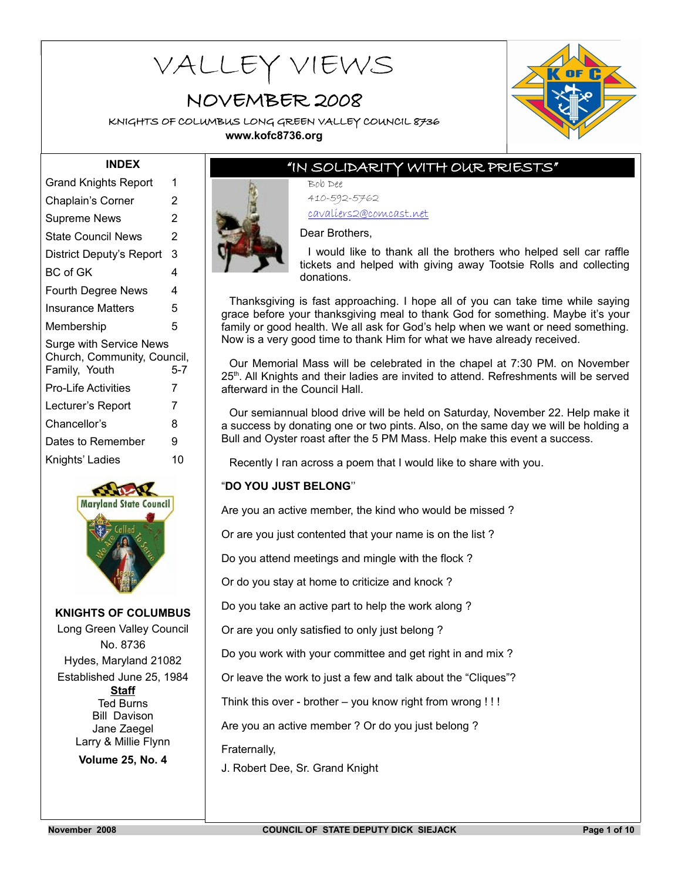# **KNIGHTS OF COLUMBUS LONG GREEN VALLEY COUNCIL 8736** VALLEY VIEWS

# NOVEMBER 2008

KNIGHTS OF COLUMBUS LONG GREEN VALLEY COUNCIL 8736 **www.kofc8736.org**



### "IN SOLIDARITY WITH OUR PRIESTS"

Bob Dee 410-592-5762 cavaliers2@comcast.net



Dear Brothers, I would like to thank all the brothers who helped sell car raffle tickets and helped with giving away Tootsie Rolls and collecting donations.

Thanksgiving is fast approaching. I hope all of you can take time while saying grace before your thanksgiving meal to thank God for something. Maybe it's your family or good health. We all ask for God's help when we want or need something. Now is a very good time to thank Him for what we have already received.

Our Memorial Mass will be celebrated in the chapel at 7:30 PM. on November 25<sup>th</sup>. All Knights and their ladies are invited to attend. Refreshments will be served afterward in the Council Hall.

Our semiannual blood drive will be held on Saturday, November 22. Help make it a success by donating one or two pints. Also, on the same day we will be holding a Bull and Oyster roast after the 5 PM Mass. Help make this event a success.

Recently I ran across a poem that I would like to share with you.

#### "**DO YOU JUST BELONG**''

Are you an active member, the kind who would be missed ?

Or are you just contented that your name is on the list ?

Do you attend meetings and mingle with the flock ?

Or do you stay at home to criticize and knock ?

Do you take an active part to help the work along ?

Or are you only satisfied to only just belong ?

Do you work with your committee and get right in and mix ?

Or leave the work to just a few and talk about the "Cliques"?

Think this over - brother – you know right from wrong ! ! !

Are you an active member ? Or do you just belong ?

Fraternally,

J. Robert Dee, Sr. Grand Knight

Grand Knights Report 1 Chaplain's Corner 2 Supreme News 2 State Council News 2 District Deputy's Report 3 BC of GK 4 Fourth Degree News 4 Insurance Matters 5 Membership 5 Surge with Service News Church, Community, Council, Family, Youth 5-7 Pro-Life Activities 7 Lecturer's Report 7 Chancellor's 8 Dates to Remember 9 Knights' Ladies 10

**INDEX**



#### **KNIGHTS OF COLUMBUS**

Long Green Valley Council No. 8736 Hydes, Maryland 21082 Established June 25, 1984 **Staff** Ted Burns Bill Davison Jane Zaegel Larry & Millie Flynn **Volume 25, No. 4**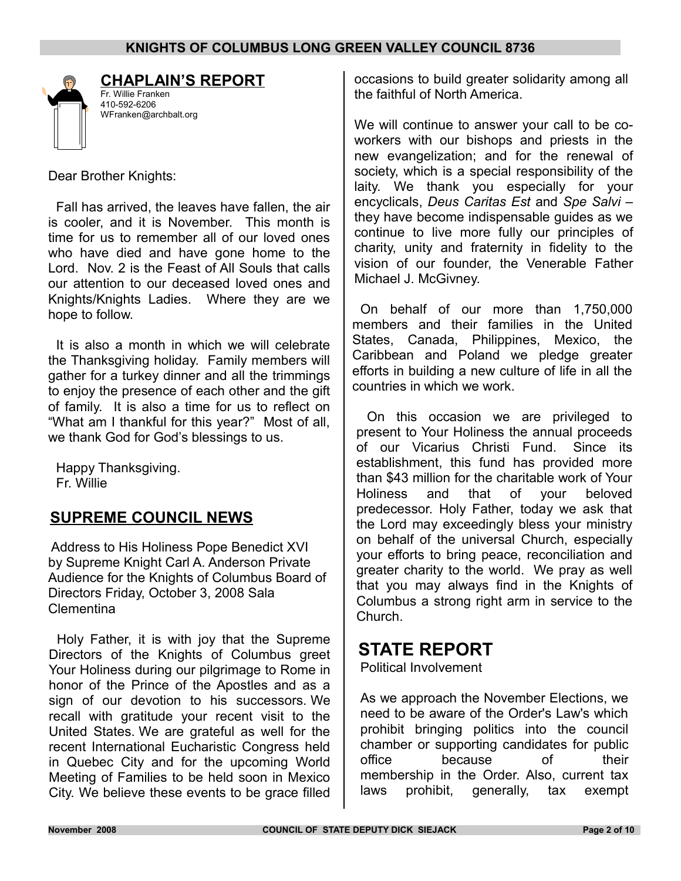

# **CHAPLAIN'S REPORT**

Fr. Willie Franken 410-592-6206 WFranken@archbalt.org

Dear Brother Knights:

Fall has arrived, the leaves have fallen, the air is cooler, and it is November. This month is time for us to remember all of our loved ones who have died and have gone home to the Lord. Nov. 2 is the Feast of All Souls that calls our attention to our deceased loved ones and Knights/Knights Ladies. Where they are we hope to follow.

It is also a month in which we will celebrate the Thanksgiving holiday. Family members will gather for a turkey dinner and all the trimmings to enjoy the presence of each other and the gift of family. It is also a time for us to reflect on "What am I thankful for this year?" Most of all, we thank God for God's blessings to us.

Happy Thanksgiving. Fr. Willie

## **SUPREME COUNCIL NEWS**

Address to His Holiness Pope Benedict XVI by Supreme Knight Carl A. Anderson Private Audience for the Knights of Columbus Board of Directors Friday, October 3, 2008 Sala Clementina

Holy Father, it is with joy that the Supreme Directors of the Knights of Columbus greet Your Holiness during our pilgrimage to Rome in honor of the Prince of the Apostles and as a sign of our devotion to his successors. We recall with gratitude your recent visit to the United States. We are grateful as well for the recent International Eucharistic Congress held in Quebec City and for the upcoming World Meeting of Families to be held soon in Mexico City. We believe these events to be grace filled occasions to build greater solidarity among all the faithful of North America.

We will continue to answer your call to be coworkers with our bishops and priests in the new evangelization; and for the renewal of society, which is a special responsibility of the laity. We thank you especially for your encyclicals, *Deus Caritas Est* and *Spe Salvi* – they have become indispensable guides as we continue to live more fully our principles of charity, unity and fraternity in fidelity to the vision of our founder, the Venerable Father Michael J. McGivney.

On behalf of our more than 1,750,000 members and their families in the United States, Canada, Philippines, Mexico, the Caribbean and Poland we pledge greater efforts in building a new culture of life in all the countries in which we work.

On this occasion we are privileged to present to Your Holiness the annual proceeds of our Vicarius Christi Fund. Since its establishment, this fund has provided more than \$43 million for the charitable work of Your Holiness and that of your beloved predecessor. Holy Father, today we ask that the Lord may exceedingly bless your ministry on behalf of the universal Church, especially your efforts to bring peace, reconciliation and greater charity to the world. We pray as well that you may always find in the Knights of Columbus a strong right arm in service to the Church.

# **STATE REPORT**

Political Involvement

As we approach the November Elections, we need to be aware of the Order's Law's which prohibit bringing politics into the council chamber or supporting candidates for public office because of their membership in the Order. Also, current tax laws prohibit, generally, tax exempt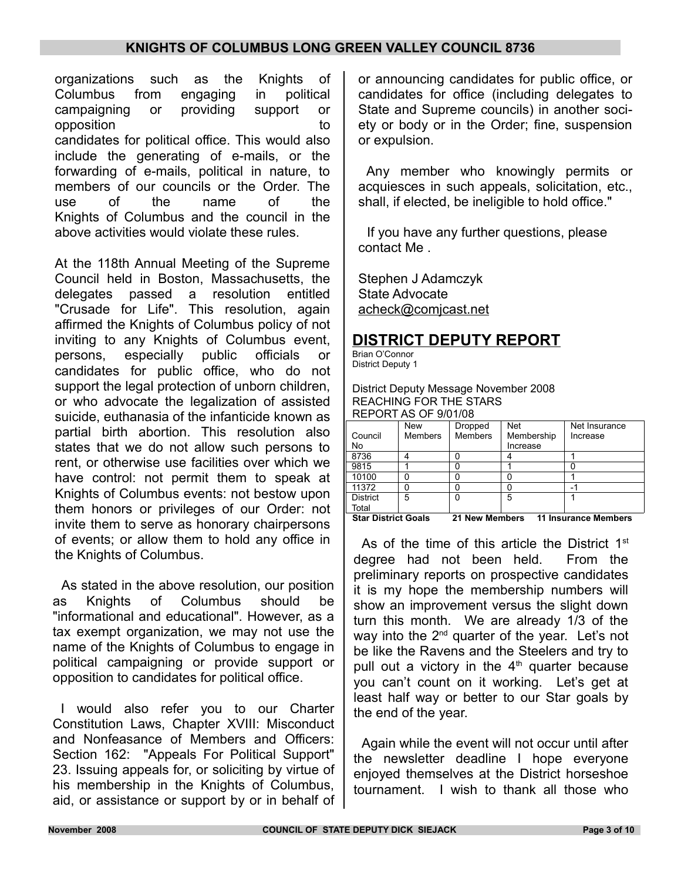organizations such as the Knights of Columbus from engaging in political campaigning or providing support or opposition to the control of the control of the control of the control of the control of the control of the control of the control of the control of the control of the control of the control of the control of the control o candidates for political office. This would also include the generating of e-mails, or the forwarding of e-mails, political in nature, to members of our councils or the Order. The use of the name of the Knights of Columbus and the council in the above activities would violate these rules.

At the 118th Annual Meeting of the Supreme Council held in Boston, Massachusetts, the delegates passed a resolution entitled "Crusade for Life". This resolution, again affirmed the Knights of Columbus policy of not inviting to any Knights of Columbus event, persons, especially public officials or candidates for public office, who do not support the legal protection of unborn children, or who advocate the legalization of assisted suicide, euthanasia of the infanticide known as partial birth abortion. This resolution also states that we do not allow such persons to rent, or otherwise use facilities over which we have control: not permit them to speak at Knights of Columbus events: not bestow upon them honors or privileges of our Order: not invite them to serve as honorary chairpersons of events; or allow them to hold any office in the Knights of Columbus.

As stated in the above resolution, our position as Knights of Columbus should be "informational and educational". However, as a tax exempt organization, we may not use the name of the Knights of Columbus to engage in political campaigning or provide support or opposition to candidates for political office.

I would also refer you to our Charter Constitution Laws, Chapter XVIII: Misconduct and Nonfeasance of Members and Officers: Section 162: "Appeals For Political Support" 23. Issuing appeals for, or soliciting by virtue of his membership in the Knights of Columbus, aid, or assistance or support by or in behalf of or announcing candidates for public office, or candidates for office (including delegates to State and Supreme councils) in another society or body or in the Order; fine, suspension or expulsion.

Any member who knowingly permits or acquiesces in such appeals, solicitation, etc., shall, if elected, be ineligible to hold office."

If you have any further questions, please contact Me .

Stephen J Adamczyk State Advocate [acheck@comjcast.net](mailto:acheck@comjcast.net)

## **DISTRICT DEPUTY REPORT**

Brian O'Connor District Deputy 1

District Deputy Message November 2008 REACHING FOR THE STARS REPORT AS OF 9/01/08

| סטוויטוס וטיסודרוט וברו    |                |                       |            |                             |  |  |  |
|----------------------------|----------------|-----------------------|------------|-----------------------------|--|--|--|
|                            | New            | Dropped               | <b>Net</b> | Net Insurance               |  |  |  |
| Council                    | <b>Members</b> | <b>Members</b>        | Membership | Increase                    |  |  |  |
| No                         |                |                       | Increase   |                             |  |  |  |
| 8736                       |                |                       |            |                             |  |  |  |
| 9815                       |                |                       |            |                             |  |  |  |
| 10100                      |                |                       |            |                             |  |  |  |
| 11372                      |                |                       |            | -                           |  |  |  |
| <b>District</b>            | 5              |                       | 5          |                             |  |  |  |
| Total                      |                |                       |            |                             |  |  |  |
| <b>Star District Goals</b> |                | <b>21 New Members</b> |            | <b>11 Insurance Members</b> |  |  |  |

As of the time of this article the District 1<sup>st</sup> degree had not been held. From the preliminary reports on prospective candidates it is my hope the membership numbers will show an improvement versus the slight down turn this month. We are already 1/3 of the way into the  $2<sup>nd</sup>$  quarter of the year. Let's not be like the Ravens and the Steelers and try to pull out a victory in the  $4<sup>th</sup>$  quarter because you can't count on it working. Let's get at least half way or better to our Star goals by the end of the year.

Again while the event will not occur until after the newsletter deadline I hope everyone enjoyed themselves at the District horseshoe tournament. I wish to thank all those who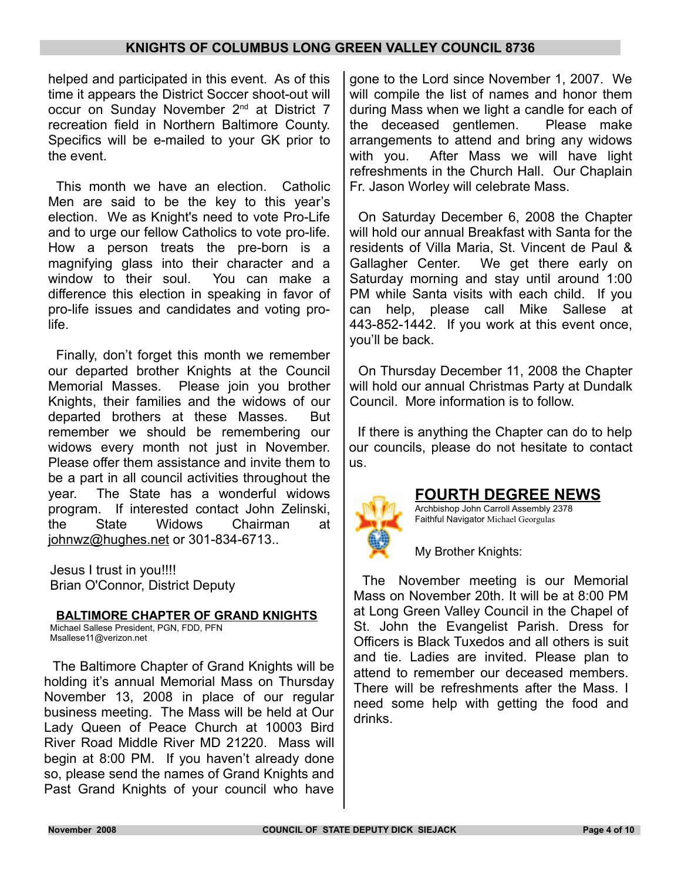helped and participated in this event. As of this time it appears the District Soccer shoot-out will occur on Sunday November 2<sup>nd</sup> at District 7 recreation field in Northern Baltimore County. Specifics will be e-mailed to your GK prior to the event.

This month we have an election. Catholic Men are said to be the key to this year's election. We as Knight's need to vote Pro-Life and to urge our fellow Catholics to vote pro-life. How a person treats the pre-born is a magnifying glass into their character and a window to their soul. You can make a difference this election in speaking in favor of pro-life issues and candidates and voting prolife.

Finally, don't forget this month we remember our departed brother Knights at the Council Memorial Masses. Please join you brother Knights, their families and the widows of our departed brothers at these Masses. But remember we should be remembering our widows every month not just in November. Please offer them assistance and invite them to be a part in all council activities throughout the year. The State has a wonderful widows program. If interested contact John Zelinski, the State Widows Chairman at johnwz@hughes.net or 301-834-6713..

Jesus I trust in you!!!! Brian O'Connor, District Deputy

#### **BALTIMORE CHAPTER OF GRAND KNIGHTS**

Michael Sallese President, PGN, FDD, PFN Msallese11@verizon.net

The Baltimore Chapter of Grand Knights will be holding it's annual Memorial Mass on Thursday November 13, 2008 in place of our regular business meeting. The Mass will be held at Our Lady Queen of Peace Church at 10003 Bird River Road Middle River MD 21220. Mass will begin at 8:00 PM. If you haven't already done so, please send the names of Grand Knights and Past Grand Knights of your council who have

gone to the Lord since November 1, 2007. We will compile the list of names and honor them during Mass when we light a candle for each of the deceased gentlemen. Please make arrangements to attend and bring any widows with you. After Mass we will have light refreshments in the Church Hall. Our Chaplain Fr. Jason Worley will celebrate Mass.

On Saturday December 6, 2008 the Chapter will hold our annual Breakfast with Santa for the residents of Villa Maria, St. Vincent de Paul & Gallagher Center. We get there early on Saturday morning and stay until around 1:00 PM while Santa visits with each child. If you can help, please call Mike Sallese at 443-852-1442. If you work at this event once, you'll be back.

On Thursday December 11, 2008 the Chapter will hold our annual Christmas Party at Dundalk Council. More information is to follow.

If there is anything the Chapter can do to help our councils, please do not hesitate to contact us.



#### **FOURTH DEGREE NEWS**

Archbishop John Carroll Assembly 2378 Faithful Navigator Michael Georgulas

My Brother Knights:

The November meeting is our Memorial Mass on November 20th. It will be at 8:00 PM at Long Green Valley Council in the Chapel of St. John the Evangelist Parish. Dress for Officers is Black Tuxedos and all others is suit and tie. Ladies are invited. Please plan to attend to remember our deceased members. There will be refreshments after the Mass. I need some help with getting the food and drinks.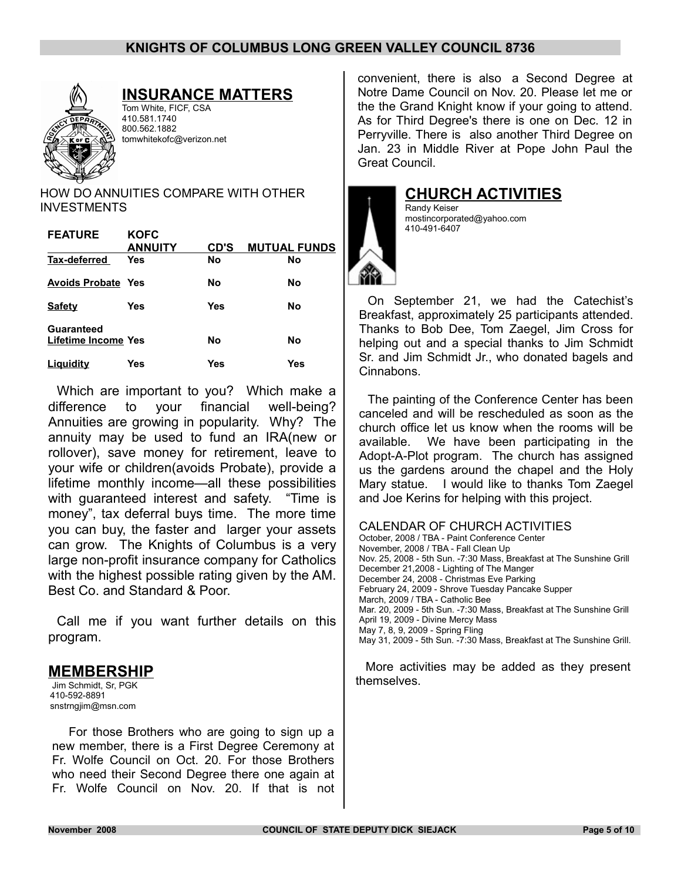

# **INSURANCE MATTERS**

Tom White, FICF, CSA 410.581.1740 800.562.1882 tomwhitekofc@verizon.net

HOW DO ANNUITIES COMPARE WITH OTHER **INVESTMENTS** 

| <b>FEATURE</b>            | <b>KOFC</b>    |           |                     |
|---------------------------|----------------|-----------|---------------------|
|                           | <b>ANNUITY</b> | CD'S      | <b>MUTUAL FUNDS</b> |
| Tax-deferred              | <b>Yes</b>     | <b>No</b> | No                  |
| <b>Avoids Probate Yes</b> |                | No        | No                  |
| <b>Safety</b>             | Yes            | Yes       | No                  |
| Guaranteed                |                |           |                     |
|                           |                |           |                     |
| Lifetime Income Yes       |                | No        | No                  |
| Liguidity                 | Yes            | Yes       | Yes                 |
|                           |                |           |                     |

Which are important to you? Which make a difference to your financial well-being? Annuities are growing in popularity. Why? The annuity may be used to fund an IRA(new or rollover), save money for retirement, leave to your wife or children(avoids Probate), provide a lifetime monthly income—all these possibilities with guaranteed interest and safety. "Time is money", tax deferral buys time. The more time you can buy, the faster and larger your assets can grow. The Knights of Columbus is a very large non-profit insurance company for Catholics with the highest possible rating given by the AM. Best Co. and Standard & Poor.

Call me if you want further details on this program.

## **MEMBERSHIP**

Jim Schmidt, Sr, PGK 410-592-8891 snstrngjim@msn.com

For those Brothers who are going to sign up a new member, there is a First Degree Ceremony at Fr. Wolfe Council on Oct. 20. For those Brothers who need their Second Degree there one again at Fr. Wolfe Council on Nov. 20. If that is not convenient, there is also a Second Degree at Notre Dame Council on Nov. 20. Please let me or the the Grand Knight know if your going to attend. As for Third Degree's there is one on Dec. 12 in Perryville. There is also another Third Degree on Jan. 23 in Middle River at Pope John Paul the Great Council.



**CHURCH ACTIVITIES**

Randy Keiser mostincorporated@yahoo.com 410-491-6407

On September 21, we had the Catechist's Breakfast, approximately 25 participants attended. Thanks to Bob Dee, Tom Zaegel, Jim Cross for helping out and a special thanks to Jim Schmidt Sr. and Jim Schmidt Jr., who donated bagels and Cinnabons.

The painting of the Conference Center has been canceled and will be rescheduled as soon as the church office let us know when the rooms will be available. We have been participating in the Adopt-A-Plot program. The church has assigned us the gardens around the chapel and the Holy Mary statue. I would like to thanks Tom Zaegel and Joe Kerins for helping with this project.

#### CALENDAR OF CHURCH ACTIVITIES

October, 2008 / TBA - Paint Conference Center November, 2008 / TBA - Fall Clean Up Nov. 25, 2008 - 5th Sun. -7:30 Mass, Breakfast at The Sunshine Grill December 21,2008 - Lighting of The Manger December 24, 2008 - Christmas Eve Parking February 24, 2009 - Shrove Tuesday Pancake Supper March, 2009 / TBA - Catholic Bee Mar. 20, 2009 - 5th Sun. -7:30 Mass, Breakfast at The Sunshine Grill April 19, 2009 - Divine Mercy Mass May 7, 8, 9, 2009 - Spring Fling May 31, 2009 - 5th Sun. -7:30 Mass, Breakfast at The Sunshine Grill.

More activities may be added as they present themselves.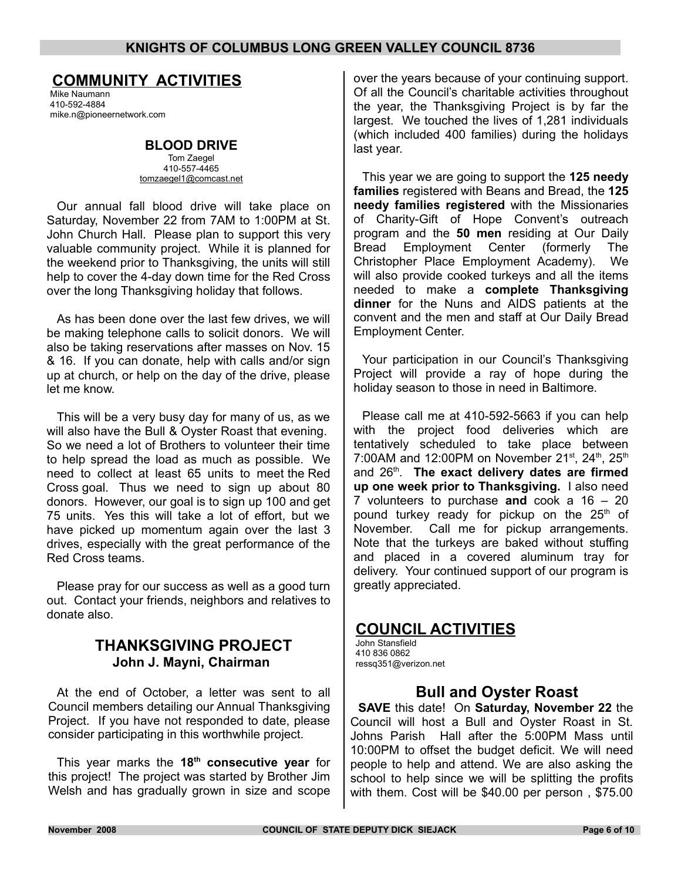### **COMMUNITY ACTIVITIES**

Mike Naumann 410-592-4884 mike.n@pioneernetwork.com

#### **BLOOD DRIVE** Tom Zaegel

410-557-4465 [tomzaegel1@comcast.net](mailto:tomzaegel1@comcast.net)

Our annual fall blood drive will take place on Saturday, November 22 from 7AM to 1:00PM at St. John Church Hall. Please plan to support this very valuable community project. While it is planned for the weekend prior to Thanksgiving, the units will still help to cover the 4-day down time for the Red Cross over the long Thanksgiving holiday that follows.

As has been done over the last few drives, we will be making telephone calls to solicit donors. We will also be taking reservations after masses on Nov. 15 & 16. If you can donate, help with calls and/or sign up at church, or help on the day of the drive, please let me know.

This will be a very busy day for many of us, as we will also have the Bull & Oyster Roast that evening. So we need a lot of Brothers to volunteer their time to help spread the load as much as possible. We need to collect at least 65 units to meet the Red Cross goal. Thus we need to sign up about 80 donors. However, our goal is to sign up 100 and get 75 units. Yes this will take a lot of effort, but we have picked up momentum again over the last 3 drives, especially with the great performance of the Red Cross teams.

Please pray for our success as well as a good turn out. Contact your friends, neighbors and relatives to donate also.

### **THANKSGIVING PROJECT John J. Mayni, Chairman**

At the end of October, a letter was sent to all Council members detailing our Annual Thanksgiving Project. If you have not responded to date, please consider participating in this worthwhile project.

This year marks the **18th consecutive year** for this project! The project was started by Brother Jim Welsh and has gradually grown in size and scope

over the years because of your continuing support. Of all the Council's charitable activities throughout the year, the Thanksgiving Project is by far the largest. We touched the lives of 1,281 individuals (which included 400 families) during the holidays last year.

This year we are going to support the **125 needy families** registered with Beans and Bread, the **125 needy families registered** with the Missionaries of Charity-Gift of Hope Convent's outreach program and the **50 men** residing at Our Daily Bread Employment Center (formerly The Christopher Place Employment Academy). We will also provide cooked turkeys and all the items needed to make a **complete Thanksgiving dinner** for the Nuns and AIDS patients at the convent and the men and staff at Our Daily Bread Employment Center.

Your participation in our Council's Thanksgiving Project will provide a ray of hope during the holiday season to those in need in Baltimore.

Please call me at 410-592-5663 if you can help with the project food deliveries which are tentatively scheduled to take place between 7:00AM and 12:00PM on November 21st, 24<sup>th</sup>, 25<sup>th</sup> and 26<sup>th</sup>. The exact delivery dates are firmed **up one week prior to Thanksgiving.** I also need 7 volunteers to purchase **and** cook a 16 – 20 pound turkey ready for pickup on the 25<sup>th</sup> of November. Call me for pickup arrangements. Note that the turkeys are baked without stuffing and placed in a covered aluminum tray for delivery. Your continued support of our program is greatly appreciated.

## **COUNCIL ACTIVITIES**

John Stansfield 410 836 0862 ressq351@verizon.net

## **Bull and Oyster Roast**

**SAVE** this date! On **Saturday, November 22** the Council will host a Bull and Oyster Roast in St. Johns Parish Hall after the 5:00PM Mass until 10:00PM to offset the budget deficit. We will need people to help and attend. We are also asking the school to help since we will be splitting the profits with them. Cost will be \$40.00 per person , \$75.00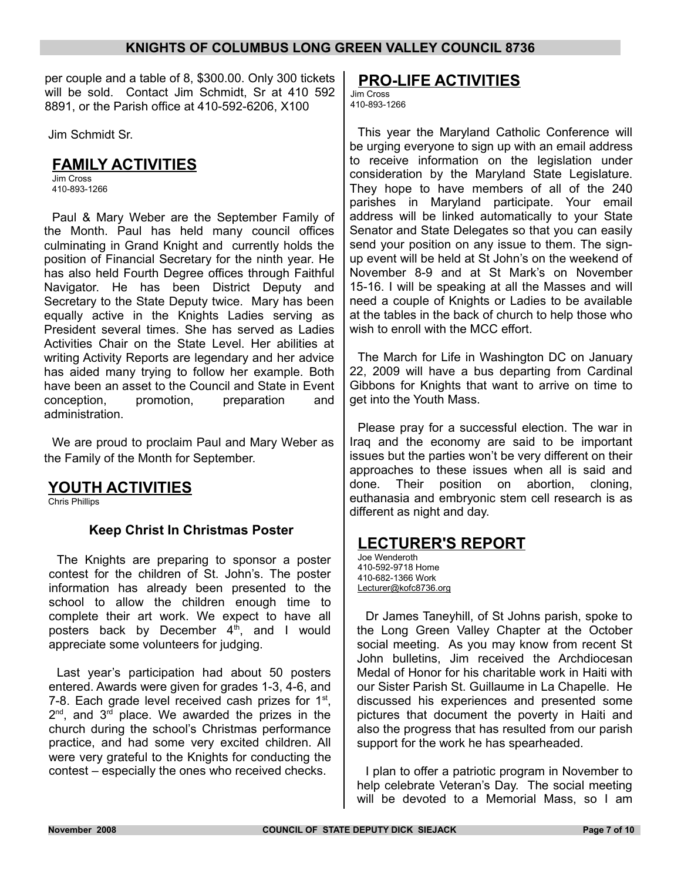per couple and a table of 8, \$300.00. Only 300 tickets will be sold. Contact Jim Schmidt, Sr at 410 592 8891, or the Parish office at 410-592-6206, X100

Jim Schmidt Sr.

### **FAMILY ACTIVITIES**

Jim Cross 410-893-1266

Paul & Mary Weber are the September Family of the Month. Paul has held many council offices culminating in Grand Knight and currently holds the position of Financial Secretary for the ninth year. He has also held Fourth Degree offices through Faithful Navigator. He has been District Deputy and Secretary to the State Deputy twice. Mary has been equally active in the Knights Ladies serving as President several times. She has served as Ladies Activities Chair on the State Level. Her abilities at writing Activity Reports are legendary and her advice has aided many trying to follow her example. Both have been an asset to the Council and State in Event conception, promotion, preparation and administration.

We are proud to proclaim Paul and Mary Weber as the Family of the Month for September.

## **YOUTH ACTIVITIES**

Chris Phillips

### **Keep Christ In Christmas Poster**

The Knights are preparing to sponsor a poster contest for the children of St. John's. The poster information has already been presented to the school to allow the children enough time to complete their art work. We expect to have all posters back by December  $4<sup>th</sup>$ , and I would appreciate some volunteers for judging.

Last year's participation had about 50 posters entered. Awards were given for grades 1-3, 4-6, and 7-8. Each grade level received cash prizes for  $1<sup>st</sup>$ ,  $2^{\text{nd}}$ , and  $3^{\text{rd}}$  place. We awarded the prizes in the church during the school's Christmas performance practice, and had some very excited children. All were very grateful to the Knights for conducting the contest – especially the ones who received checks.

## **PRO-LIFE ACTIVITIES**

Jim Cross 410-893-1266

This year the Maryland Catholic Conference will be urging everyone to sign up with an email address to receive information on the legislation under consideration by the Maryland State Legislature. They hope to have members of all of the 240 parishes in Maryland participate. Your email address will be linked automatically to your State Senator and State Delegates so that you can easily send your position on any issue to them. The signup event will be held at St John's on the weekend of November 8-9 and at St Mark's on November 15-16. I will be speaking at all the Masses and will need a couple of Knights or Ladies to be available at the tables in the back of church to help those who wish to enroll with the MCC effort.

The March for Life in Washington DC on January 22, 2009 will have a bus departing from Cardinal Gibbons for Knights that want to arrive on time to get into the Youth Mass.

Please pray for a successful election. The war in Iraq and the economy are said to be important issues but the parties won't be very different on their approaches to these issues when all is said and done. Their position on abortion, cloning, euthanasia and embryonic stem cell research is as different as night and day.

## **LECTURER'S REPORT**

Joe Wenderoth 410-592-9718 Home 410-682-1366 Work Lecturer@kofc8736.org

Dr James Taneyhill, of St Johns parish, spoke to the Long Green Valley Chapter at the October social meeting. As you may know from recent St John bulletins, Jim received the Archdiocesan Medal of Honor for his charitable work in Haiti with our Sister Parish St. Guillaume in La Chapelle. He discussed his experiences and presented some pictures that document the poverty in Haiti and also the progress that has resulted from our parish support for the work he has spearheaded.

I plan to offer a patriotic program in November to help celebrate Veteran's Day. The social meeting will be devoted to a Memorial Mass, so I am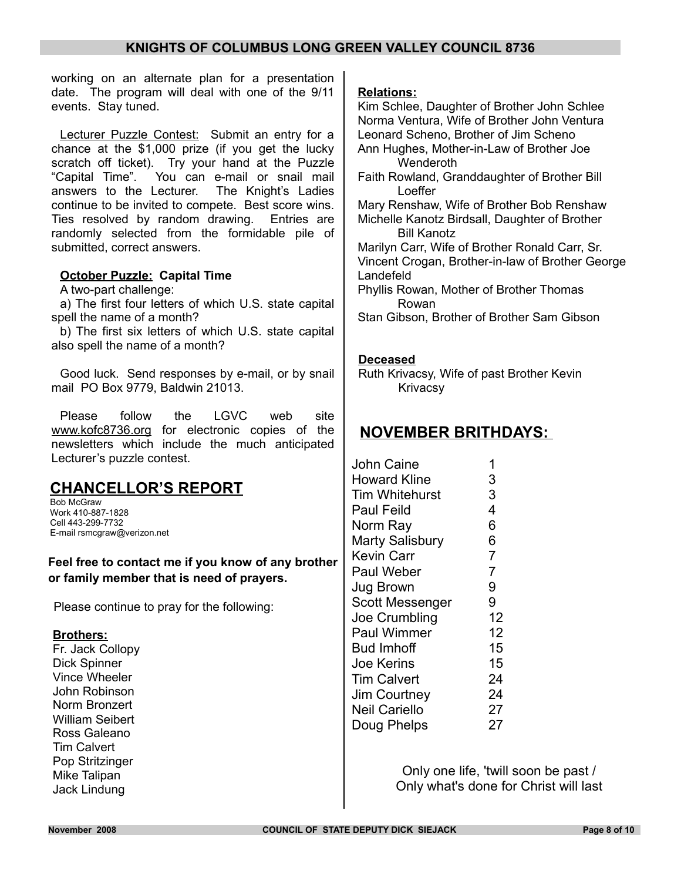working on an alternate plan for a presentation date. The program will deal with one of the 9/11 events. Stay tuned.

Lecturer Puzzle Contest: Submit an entry for a chance at the \$1,000 prize (if you get the lucky scratch off ticket). Try your hand at the Puzzle "Capital Time". You can e-mail or snail mail answers to the Lecturer. The Knight's Ladies continue to be invited to compete. Best score wins. Ties resolved by random drawing. Entries are randomly selected from the formidable pile of submitted, correct answers.

#### **October Puzzle: Capital Time**

A two-part challenge:

a) The first four letters of which U.S. state capital spell the name of a month?

b) The first six letters of which U.S. state capital also spell the name of a month?

Good luck. Send responses by e-mail, or by snail mail PO Box 9779, Baldwin 21013.

Please follow the LGVC web site www.kofc8736.org for electronic copies of the newsletters which include the much anticipated Lecturer's puzzle contest.

## **CHANCELLOR'S REPORT**

Bob McGraw Work 410-887-1828 Cell 443-299-7732 E-mail rsmcgraw@verizon.net

#### **Feel free to contact me if you know of any brother or family member that is need of prayers.**

Please continue to pray for the following:

#### **Brothers:**

Fr. Jack Collopy Dick Spinner Vince Wheeler John Robinson Norm Bronzert William Seibert Ross Galeano Tim Calvert Pop Stritzinger Mike Talipan Jack Lindung

#### **Relations:**

Kim Schlee, Daughter of Brother John Schlee Norma Ventura, Wife of Brother John Ventura Leonard Scheno, Brother of Jim Scheno Ann Hughes, Mother-in-Law of Brother Joe **Wenderoth** 

Faith Rowland, Granddaughter of Brother Bill Loeffer

Mary Renshaw, Wife of Brother Bob Renshaw Michelle Kanotz Birdsall, Daughter of Brother Bill Kanotz

Marilyn Carr, Wife of Brother Ronald Carr, Sr. Vincent Crogan, Brother-in-law of Brother George Landefeld

Phyllis Rowan, Mother of Brother Thomas Rowan

Stan Gibson, Brother of Brother Sam Gibson

#### **Deceased**

Ruth Krivacsy, Wife of past Brother Kevin Krivacsy

## **NOVEMBER BRITHDAYS:**

John Caine 1 Howard Kline 3 Tim Whitehurst 3 Paul Feild 4 Norm Ray 6 Marty Salisbury 6 Kevin Carr 7 Paul Weber 7 Jug Brown 9 Scott Messenger 9 Joe Crumbling 12 Paul Wimmer 12 Bud Imhoff 15 Joe Kerins 15 Tim Calvert 24 Jim Courtney 24 Neil Cariello 27 Doug Phelps 27

> Only one life, 'twill soon be past / Only what's done for Christ will last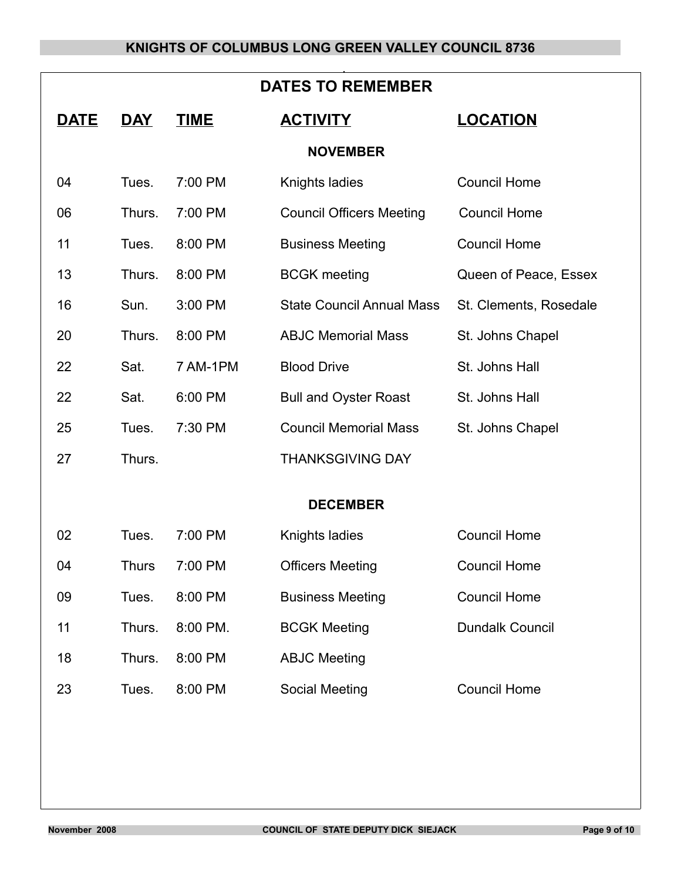| <b>DATES TO REMEMBER</b> |             |              |             |                                  |                        |  |  |  |
|--------------------------|-------------|--------------|-------------|----------------------------------|------------------------|--|--|--|
|                          | <u>DATE</u> | <b>DAY</b>   | <b>TIME</b> | <b>ACTIVITY</b>                  | <b>LOCATION</b>        |  |  |  |
| <b>NOVEMBER</b>          |             |              |             |                                  |                        |  |  |  |
|                          | 04          | Tues.        | 7:00 PM     | Knights ladies                   | <b>Council Home</b>    |  |  |  |
|                          | 06          | Thurs.       | 7:00 PM     | <b>Council Officers Meeting</b>  | <b>Council Home</b>    |  |  |  |
|                          | 11          | Tues.        | 8:00 PM     | <b>Business Meeting</b>          | <b>Council Home</b>    |  |  |  |
|                          | 13          | Thurs.       | 8:00 PM     | <b>BCGK</b> meeting              | Queen of Peace, Essex  |  |  |  |
|                          | 16          | Sun.         | 3:00 PM     | <b>State Council Annual Mass</b> | St. Clements, Rosedale |  |  |  |
|                          | 20          | Thurs.       | 8:00 PM     | <b>ABJC Memorial Mass</b>        | St. Johns Chapel       |  |  |  |
|                          | 22          | Sat.         | 7 AM-1PM    | <b>Blood Drive</b>               | St. Johns Hall         |  |  |  |
|                          | 22          | Sat.         | 6:00 PM     | <b>Bull and Oyster Roast</b>     | St. Johns Hall         |  |  |  |
|                          | 25          | Tues.        | 7:30 PM     | <b>Council Memorial Mass</b>     | St. Johns Chapel       |  |  |  |
|                          | 27          | Thurs.       |             | <b>THANKSGIVING DAY</b>          |                        |  |  |  |
|                          |             |              |             |                                  |                        |  |  |  |
| <b>DECEMBER</b>          |             |              |             |                                  |                        |  |  |  |
|                          | 02          | Tues.        | 7:00 PM     | Knights ladies                   | <b>Council Home</b>    |  |  |  |
|                          | 04          | <b>Thurs</b> | 7:00 PM     | <b>Officers Meeting</b>          | <b>Council Home</b>    |  |  |  |
|                          | 09          | Tues.        | 8:00 PM     | <b>Business Meeting</b>          | <b>Council Home</b>    |  |  |  |
|                          | 11          | Thurs.       | 8:00 PM.    | <b>BCGK Meeting</b>              | <b>Dundalk Council</b> |  |  |  |
|                          | 18          | Thurs.       | 8:00 PM     | <b>ABJC Meeting</b>              |                        |  |  |  |
|                          | 23          | Tues.        | 8:00 PM     | Social Meeting                   | <b>Council Home</b>    |  |  |  |
|                          |             |              |             |                                  |                        |  |  |  |